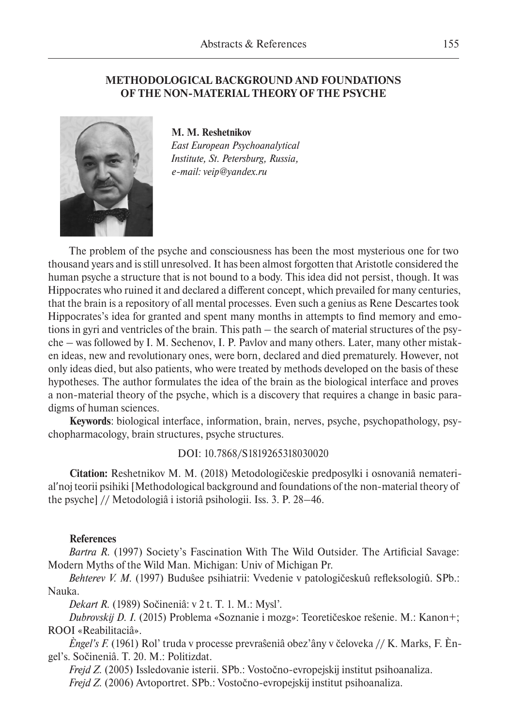# **METHODOLOGICAL BACKGROUND AND FOUNDATIONS OF THE NON-MATERIAL THEORY OF THE PSYCHE**



**M. M. Reshetnikov** *East European Psychoanalytical Institute, St. Petersburg, Russia, e-mail: veip@yandex.ru*

The problem of the psyche and consciousness has been the most mysterious one for two thousand years and is still unresolved. It has been almost forgotten that Aristotle considered the human psyche a structure that is not bound to a body. This idea did not persist, though. It was Hippocrates who ruined it and declared a different concept, which prevailed for many centuries, that the brain is a repository of all mental processes. Even such a genius as Rene Descartes took Hippocrates's idea for granted and spent many months in attempts to find memory and emotions in gyri and ventricles of the brain. This path – the search of material structures of the psyche – was followed by I. M. Sechenov, I. P. Pavlov and many others. Later, many other mistaken ideas, new and revolutionary ones, were born, declared and died prematurely. However, not only ideas died, but also patients, who were treated by methods developed on the basis of these hypotheses. The author formulates the idea of the brain as the biological interface and proves a non-material theory of the psyche, which is a discovery that requires a change in basic paradigms of human sciences.

**Keywords**: biological interface, information, brain, nerves, psyche, psychopathology, psychopharmacology, brain structures, psyche structures.

## DOI: 10.7868/S1819265318030020

**Citation:** Reshetnikov M. M. (2018) Metodologičeskie predposylki i osnovaniâ nematerialʹnoj teorii psihiki [Methodological background and foundations of the non-material theory of the psyche] // Metodologiâ i istoriâ psihologii. Iss. 3. P. 28–46.

### **References**

*Bartra R.* (1997) Society's Fascination With The Wild Outsider. The Artificial Savage: Modern Myths of the Wild Man. Michigan: Univ of Michigan Pr.

*Behterev V. M.* (1997) Buduŝee psihiatrii: Vvedenie v patologičeskuû refleksologiû. SPb.: Nauka.

*Dekart R.* (1989) Sočineniâ: v 2 t. T. 1. M.: Mysl'.

*Dubrovskij D. I.* (2015) Problema «Soznanie i mozg»: Teoretičeskoe rešenie. M.: Kanon+; ROOI «Reabilitaciâ».

*Èngel's F.* (1961) Rol' truda v processe prevraŝeniâ obez'âny v čeloveka // K. Marks, F. Èngel's. Sočineniâ. T. 20. M.: Politizdat.

*Frejd Z.* (2005) Issledovanie isterii. SPb.: Vostočno-evropejskij institut psihoanaliza. *Frejd Z.* (2006) Avtoportret. SPb.: Vostočno-evropejskij institut psihoanaliza.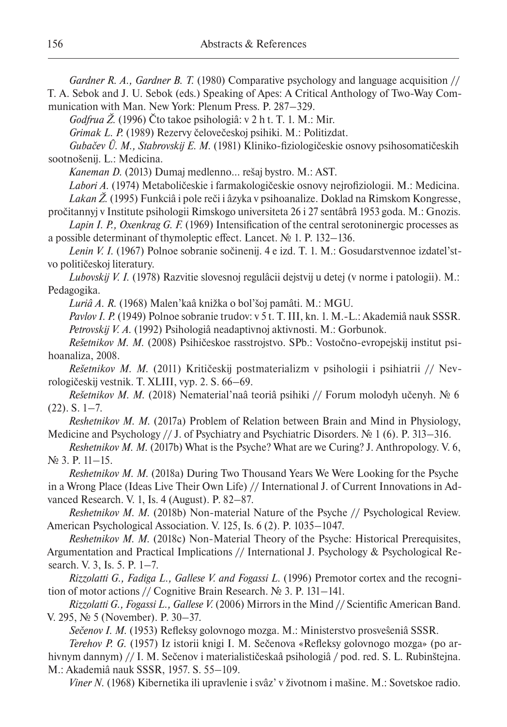*Gardner R. A., Gardner B. T.* (1980) Comparative psychology and language acquisition //

T. A. Sebok and J. U. Sebok (eds.) Speaking of Apes: A Critical Anthology of Two-Way Communication with Man. New York: Plenum Press. P. 287–329.

*Godfrua Ž.* (1996) Čto takoe psihologiâ: v 2 h t. T. 1. M.: Mir.

*Grimak L. P.* (1989) Rezervy čelovečeskoj psihiki. M.: Politizdat.

*Gubačev Û. M., Stabrovskij E. M.* (1981) Kliniko-fiziologičeskie osnovy psihosomatičeskih sootnošenij. L.: Medicina.

*Kaneman D.* (2013) Dumaj medlenno… rešaj bystro. M.: AST.

*Labori A.* (1974) Metaboličeskie i farmakologičeskie osnovy nejrofiziologii. M.: Medicina. *Lakan Ž.* (1995) Funkciâ i pole reči i âzyka v psihoanalize. Doklad na Rimskom Kongresse,

pročitannyj v Institute psihologii Rimskogo universiteta 26 i 27 sentâbrâ 1953 goda. M.: Gnozis. *Lapin I. P., Oxenkrag G. F.* (1969) Intensification of the central serotoninergic processes as

a possible determinant of thymoleptic effect. Lancet. № 1. P. 132–136.

Lenin V. I. (1967) Polnoe sobranie sočinenij. 4 e izd. T. 1. M.: Gosudarstvennoe izdatel'stvo političeskoj literatury.

*Lubovskij V. I.* (1978) Razvitie slovesnoj regulâcii dejstvij u detej (v norme i patologii). M.: Pedagogika.

*Luriâ A. R.* (1968) Malen'kaâ knižka o bol'šoj pamâti. M.: MGU.

Pavlov I. P. (1949) Polnoe sobranie trudov: v 5 t. T. III, kn. 1. M.-L.: Akademiâ nauk SSSR. *Petrovskij V. A.* (1992) Psihologiâ neadaptivnoj aktivnosti. M.: Gorbunok.

*Rešetnikov M. M.* (2008) Psihičeskoe rasstrojstvo. SPb.: Vostočno-evropejskij institut psihoanaliza, 2008.

*Rešetnikov M. M.* (2011) Kritičeskij postmaterializm v psihologii i psihiatrii // Nevrologičeskij vestnik. T. XLIII, vyp. 2. S. 66–69.

*Rešetnikov M. M.* (2018) Nematerial'naâ teoriâ psihiki // Forum molodyh učenyh. № 6  $(22)$ . S.  $1-7$ .

*Reshetnikov M. M.* (2017a) Problem of Relation between Brain and Mind in Physiology, Medicine and Psychology // J. of Psychiatry and Psychiatric Disorders. № 1 (6). P. 313–316.

*Reshetnikov M. M.* (2017b) What is the Psyche? What are we Curing? J. Anthropology. V. 6, № 3. P. 11–15.

*Reshetnikov M. M.* (2018a) During Two Thousand Years We Were Looking for the Psyche in a Wrong Place (Ideas Live Their Own Life) // International J. of Current Innovations in Advanced Research. V. 1, Is. 4 (August). P. 82–87.

*Reshetnikov M. M.* (2018b) Non-material Nature of the Psyche // Psychological Review. American Psychological Association. V. 125, Is. 6 (2). P. 1035–1047.

*Reshetnikov M. M.* (2018c) Non-Material Theory of the Psyche: Historical Prerequisites, Argumentation and Practical Implications // International J. Psychology & Psychological Research. V. 3, Is. 5. P. 1–7.

*Rizzolatti G., Fadiga L., Gallese V. and Fogassi L.* (1996) Premotor cortex and the recognition of motor actions // Cognitive Brain Research. № 3. P. 131–141.

*Rizzolatti G., Fogassi L., Gallese V.* (2006) Mirrors in the Mind // Scientific American Band. V. 295, № 5 (November). P. 30–37.

*Sečenov I. M.* (1953) Refleksy golovnogo mozga. M.: Ministerstvo prosveŝeniâ SSSR.

*Terehov P. G.* (1957) Iz istorii knigi I. M. Sečenova «Refleksy golovnogo mozga» (po arhivnym dannym) // I. M. Sečenov i materialističeskaâ psihologiâ / pod. red. S. L. Rubinštejna. M.: Akademiâ nauk SSSR, 1957. S. 55–109.

*Viner N.* (1968) Kibernetika ili upravlenie i svâz' v životnom i mašine. M.: Sovetskoe radio.